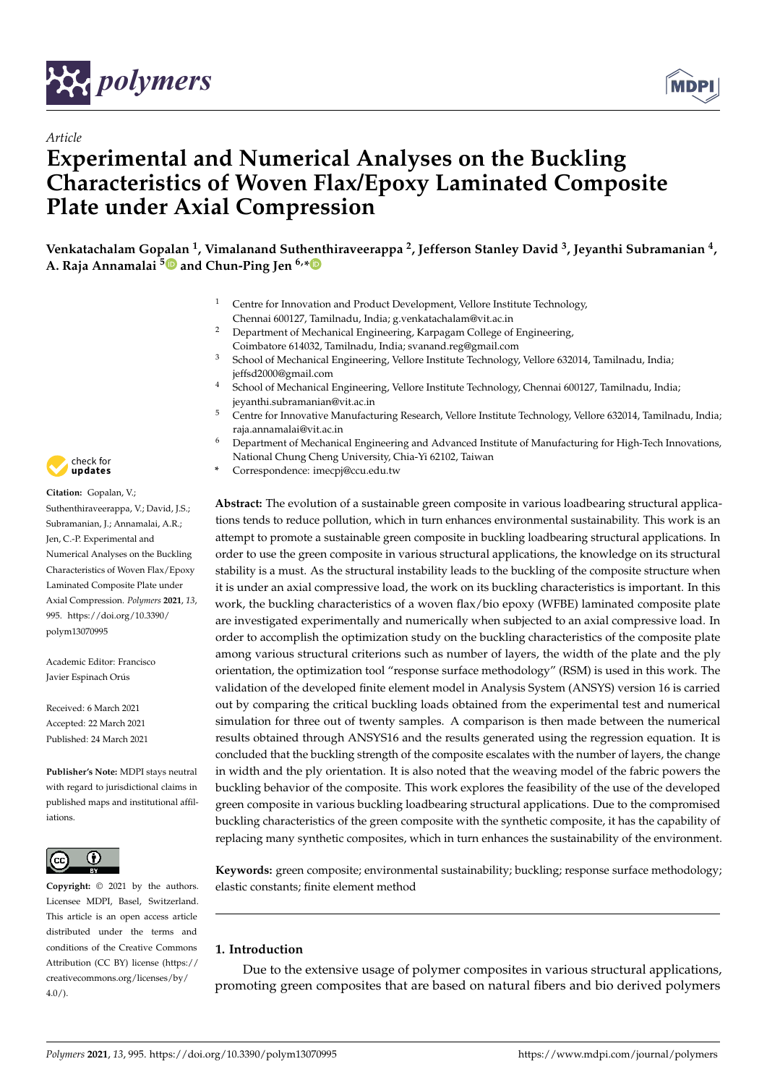

*Article*



# **Experimental and Numerical Analyses on the Buckling Characteristics of Woven Flax/Epoxy Laminated Composite Plate under Axial Compression**

**Venkatachalam Gopalan <sup>1</sup> , Vimalanand Suthenthiraveerappa <sup>2</sup> , Jefferson Stanley David <sup>3</sup> , Jeyanthi Subramanian <sup>4</sup> , A. Raja Annamalai <sup>5</sup> and Chun-Ping Jen 6,\***

- <sup>1</sup> Centre for Innovation and Product Development, Vellore Institute Technology, Chennai 600127, Tamilnadu, India; g.venkatachalam@vit.ac.in
- <sup>2</sup> Department of Mechanical Engineering, Karpagam College of Engineering, Coimbatore 614032, Tamilnadu, India; svanand.reg@gmail.com
- <sup>3</sup> School of Mechanical Engineering, Vellore Institute Technology, Vellore 632014, Tamilnadu, India; jeffsd2000@gmail.com
- <sup>4</sup> School of Mechanical Engineering, Vellore Institute Technology, Chennai 600127, Tamilnadu, India; jeyanthi.subramanian@vit.ac.in
- <sup>5</sup> Centre for Innovative Manufacturing Research, Vellore Institute Technology, Vellore 632014, Tamilnadu, India; raja.annamalai@vit.ac.in
- <sup>6</sup> Department of Mechanical Engineering and Advanced Institute of Manufacturing for High-Tech Innovations, National Chung Cheng University, Chia-Yi 62102, Taiwan
- **\*** Correspondence: imecpj@ccu.edu.tw

**Abstract:** The evolution of a sustainable green composite in various loadbearing structural applications tends to reduce pollution, which in turn enhances environmental sustainability. This work is an attempt to promote a sustainable green composite in buckling loadbearing structural applications. In order to use the green composite in various structural applications, the knowledge on its structural stability is a must. As the structural instability leads to the buckling of the composite structure when it is under an axial compressive load, the work on its buckling characteristics is important. In this work, the buckling characteristics of a woven flax/bio epoxy (WFBE) laminated composite plate are investigated experimentally and numerically when subjected to an axial compressive load. In order to accomplish the optimization study on the buckling characteristics of the composite plate among various structural criterions such as number of layers, the width of the plate and the ply orientation, the optimization tool "response surface methodology" (RSM) is used in this work. The validation of the developed finite element model in Analysis System (ANSYS) version 16 is carried out by comparing the critical buckling loads obtained from the experimental test and numerical simulation for three out of twenty samples. A comparison is then made between the numerical results obtained through ANSYS16 and the results generated using the regression equation. It is concluded that the buckling strength of the composite escalates with the number of layers, the change in width and the ply orientation. It is also noted that the weaving model of the fabric powers the buckling behavior of the composite. This work explores the feasibility of the use of the developed green composite in various buckling loadbearing structural applications. Due to the compromised buckling characteristics of the green composite with the synthetic composite, it has the capability of replacing many synthetic composites, which in turn enhances the sustainability of the environment.

**Keywords:** green composite; environmental sustainability; buckling; response surface methodology; elastic constants; finite element method

## **1. Introduction**

Due to the extensive usage of polymer composites in various structural applications, promoting green composites that are based on natural fibers and bio derived polymers



**Citation:** Gopalan, V.; Suthenthiraveerappa, V.; David, J.S.; Subramanian, J.; Annamalai, A.R.; Jen, C.-P. Experimental and Numerical Analyses on the Buckling Characteristics of Woven Flax/Epoxy Laminated Composite Plate under Axial Compression. *Polymers* **2021**, *13*, 995. https://doi.org/10.3390/ polym13070995

Academic Editor: Francisco Javier Espinach Orús

Received: 6 March 2021 Accepted: 22 March 2021 Published: 24 March 2021

**Publisher's Note:** MDPI stays neutral with regard to jurisdictional claims in published maps and institutional affiliations.



**Copyright:** © 2021 by the authors. Licensee MDPI, Basel, Switzerland. This article is an open access article distributed under the terms and conditions of the Creative Commons Attribution (CC BY) license (https:// creativecommons.org/licenses/by/  $4.0/$ ).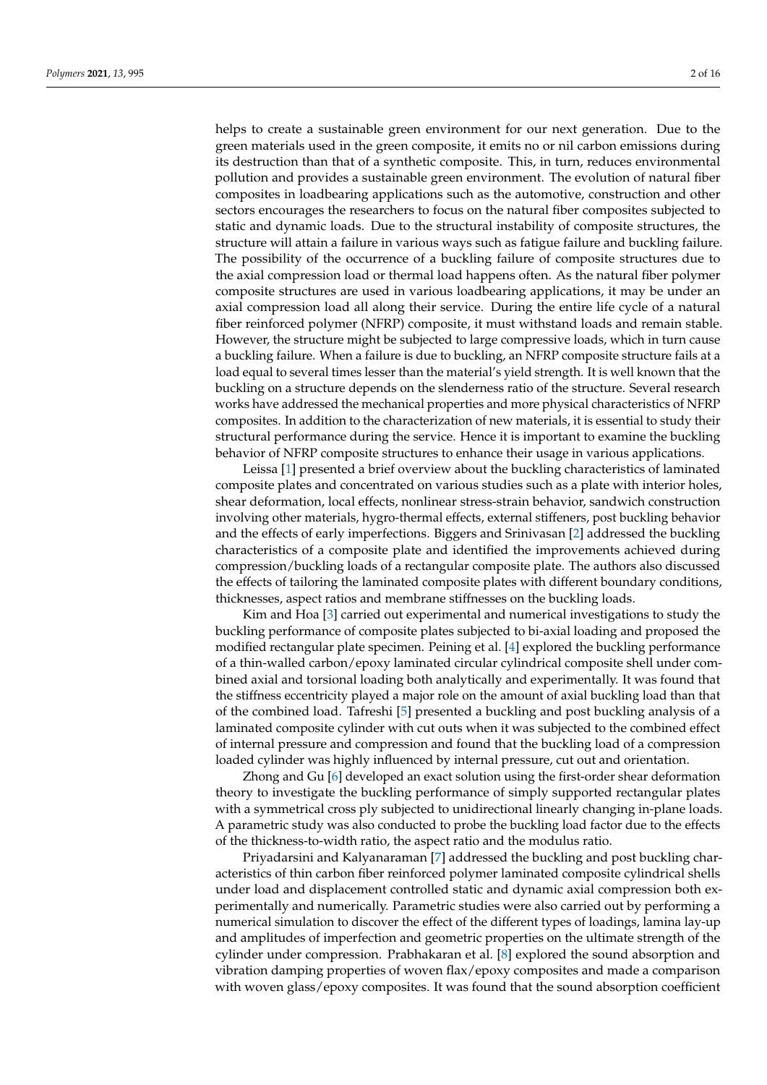helps to create a sustainable green environment for our next generation. Due to the green materials used in the green composite, it emits no or nil carbon emissions during its destruction than that of a synthetic composite. This, in turn, reduces environmental pollution and provides a sustainable green environment. The evolution of natural fiber composites in loadbearing applications such as the automotive, construction and other sectors encourages the researchers to focus on the natural fiber composites subjected to static and dynamic loads. Due to the structural instability of composite structures, the structure will attain a failure in various ways such as fatigue failure and buckling failure. The possibility of the occurrence of a buckling failure of composite structures due to the axial compression load or thermal load happens often. As the natural fiber polymer composite structures are used in various loadbearing applications, it may be under an axial compression load all along their service. During the entire life cycle of a natural fiber reinforced polymer (NFRP) composite, it must withstand loads and remain stable. However, the structure might be subjected to large compressive loads, which in turn cause a buckling failure. When a failure is due to buckling, an NFRP composite structure fails at a load equal to several times lesser than the material's yield strength. It is well known that the buckling on a structure depends on the slenderness ratio of the structure. Several research works have addressed the mechanical properties and more physical characteristics of NFRP composites. In addition to the characterization of new materials, it is essential to study their structural performance during the service. Hence it is important to examine the buckling behavior of NFRP composite structures to enhance their usage in various applications.

Leissa [1] presented a brief overview about the buckling characteristics of laminated composite plates and concentrated on various studies such as a plate with interior holes, shear deformation, local effects, nonlinear stress-strain behavior, sandwich construction involving other materials, hygro-thermal effects, external stiffeners, post buckling behavior and the effects of early imperfections. Biggers and Srinivasan [2] addressed the buckling characteristics of a composite plate and identified the improvements achieved during compression/buckling loads of a rectangular composite plate. The authors also discussed the effects of tailoring the laminated composite plates with different boundary conditions, thicknesses, aspect ratios and membrane stiffnesses on the buckling loads.

Kim and Hoa [3] carried out experimental and numerical investigations to study the buckling performance of composite plates subjected to bi-axial loading and proposed the modified rectangular plate specimen. Peining et al. [4] explored the buckling performance of a thin-walled carbon/epoxy laminated circular cylindrical composite shell under combined axial and torsional loading both analytically and experimentally. It was found that the stiffness eccentricity played a major role on the amount of axial buckling load than that of the combined load. Tafreshi [5] presented a buckling and post buckling analysis of a laminated composite cylinder with cut outs when it was subjected to the combined effect of internal pressure and compression and found that the buckling load of a compression loaded cylinder was highly influenced by internal pressure, cut out and orientation.

Zhong and Gu [6] developed an exact solution using the first-order shear deformation theory to investigate the buckling performance of simply supported rectangular plates with a symmetrical cross ply subjected to unidirectional linearly changing in-plane loads. A parametric study was also conducted to probe the buckling load factor due to the effects of the thickness-to-width ratio, the aspect ratio and the modulus ratio.

Priyadarsini and Kalyanaraman [7] addressed the buckling and post buckling characteristics of thin carbon fiber reinforced polymer laminated composite cylindrical shells under load and displacement controlled static and dynamic axial compression both experimentally and numerically. Parametric studies were also carried out by performing a numerical simulation to discover the effect of the different types of loadings, lamina lay-up and amplitudes of imperfection and geometric properties on the ultimate strength of the cylinder under compression. Prabhakaran et al. [8] explored the sound absorption and vibration damping properties of woven flax/epoxy composites and made a comparison with woven glass/epoxy composites. It was found that the sound absorption coefficient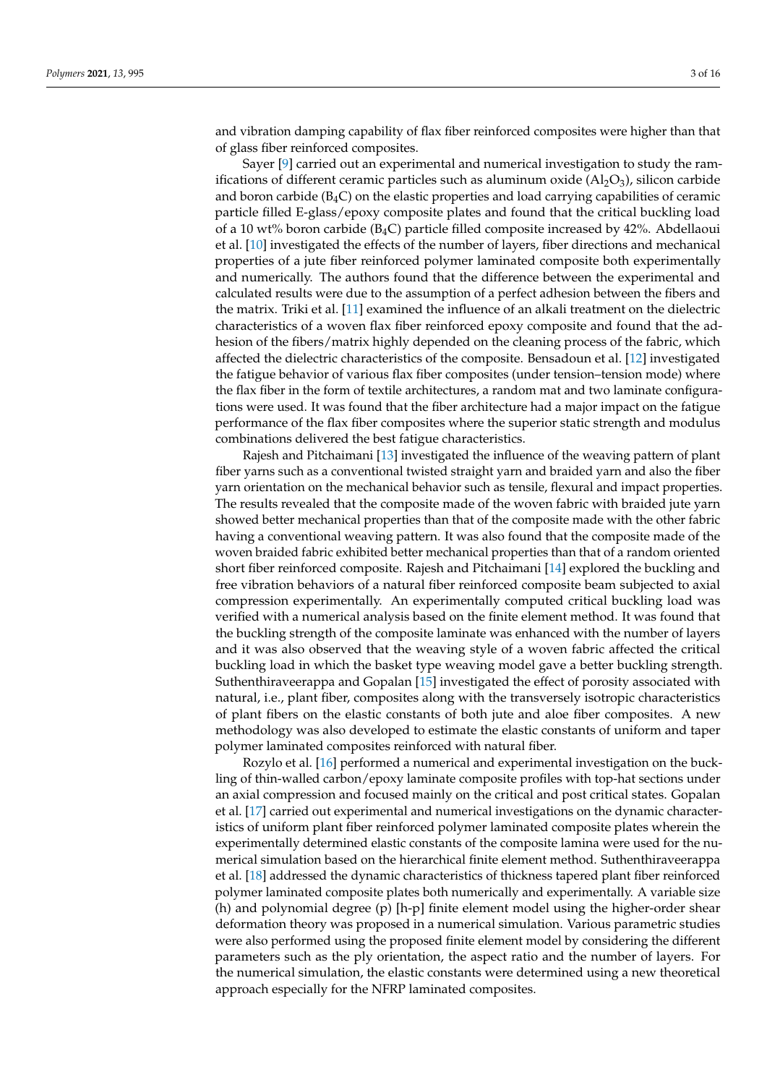and vibration damping capability of flax fiber reinforced composites were higher than that of glass fiber reinforced composites.

Sayer [9] carried out an experimental and numerical investigation to study the ramifications of different ceramic particles such as aluminum oxide  $(A1<sub>2</sub>O<sub>3</sub>)$ , silicon carbide and boron carbide  $(B_4C)$  on the elastic properties and load carrying capabilities of ceramic particle filled E-glass/epoxy composite plates and found that the critical buckling load of a 10 wt% boron carbide ( $B_4C$ ) particle filled composite increased by 42%. Abdellaoui et al. [10] investigated the effects of the number of layers, fiber directions and mechanical properties of a jute fiber reinforced polymer laminated composite both experimentally and numerically. The authors found that the difference between the experimental and calculated results were due to the assumption of a perfect adhesion between the fibers and the matrix. Triki et al. [11] examined the influence of an alkali treatment on the dielectric characteristics of a woven flax fiber reinforced epoxy composite and found that the adhesion of the fibers/matrix highly depended on the cleaning process of the fabric, which affected the dielectric characteristics of the composite. Bensadoun et al. [12] investigated the fatigue behavior of various flax fiber composites (under tension–tension mode) where the flax fiber in the form of textile architectures, a random mat and two laminate configurations were used. It was found that the fiber architecture had a major impact on the fatigue performance of the flax fiber composites where the superior static strength and modulus combinations delivered the best fatigue characteristics.

Rajesh and Pitchaimani [13] investigated the influence of the weaving pattern of plant fiber yarns such as a conventional twisted straight yarn and braided yarn and also the fiber yarn orientation on the mechanical behavior such as tensile, flexural and impact properties. The results revealed that the composite made of the woven fabric with braided jute yarn showed better mechanical properties than that of the composite made with the other fabric having a conventional weaving pattern. It was also found that the composite made of the woven braided fabric exhibited better mechanical properties than that of a random oriented short fiber reinforced composite. Rajesh and Pitchaimani [14] explored the buckling and free vibration behaviors of a natural fiber reinforced composite beam subjected to axial compression experimentally. An experimentally computed critical buckling load was verified with a numerical analysis based on the finite element method. It was found that the buckling strength of the composite laminate was enhanced with the number of layers and it was also observed that the weaving style of a woven fabric affected the critical buckling load in which the basket type weaving model gave a better buckling strength. Suthenthiraveerappa and Gopalan [15] investigated the effect of porosity associated with natural, i.e., plant fiber, composites along with the transversely isotropic characteristics of plant fibers on the elastic constants of both jute and aloe fiber composites. A new methodology was also developed to estimate the elastic constants of uniform and taper polymer laminated composites reinforced with natural fiber.

Rozylo et al. [16] performed a numerical and experimental investigation on the buckling of thin-walled carbon/epoxy laminate composite profiles with top-hat sections under an axial compression and focused mainly on the critical and post critical states. Gopalan et al. [17] carried out experimental and numerical investigations on the dynamic characteristics of uniform plant fiber reinforced polymer laminated composite plates wherein the experimentally determined elastic constants of the composite lamina were used for the numerical simulation based on the hierarchical finite element method. Suthenthiraveerappa et al. [18] addressed the dynamic characteristics of thickness tapered plant fiber reinforced polymer laminated composite plates both numerically and experimentally. A variable size (h) and polynomial degree (p) [h-p] finite element model using the higher-order shear deformation theory was proposed in a numerical simulation. Various parametric studies were also performed using the proposed finite element model by considering the different parameters such as the ply orientation, the aspect ratio and the number of layers. For the numerical simulation, the elastic constants were determined using a new theoretical approach especially for the NFRP laminated composites.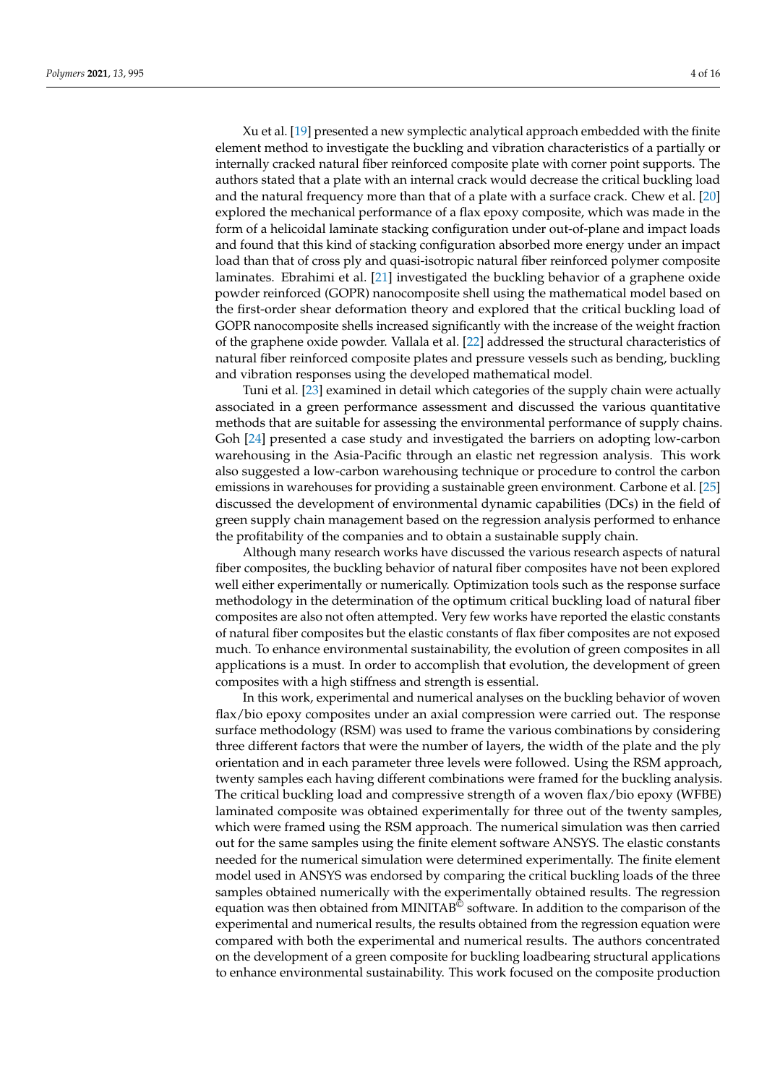Xu et al. [19] presented a new symplectic analytical approach embedded with the finite element method to investigate the buckling and vibration characteristics of a partially or internally cracked natural fiber reinforced composite plate with corner point supports. The authors stated that a plate with an internal crack would decrease the critical buckling load and the natural frequency more than that of a plate with a surface crack. Chew et al. [20] explored the mechanical performance of a flax epoxy composite, which was made in the form of a helicoidal laminate stacking configuration under out-of-plane and impact loads and found that this kind of stacking configuration absorbed more energy under an impact load than that of cross ply and quasi-isotropic natural fiber reinforced polymer composite laminates. Ebrahimi et al. [21] investigated the buckling behavior of a graphene oxide powder reinforced (GOPR) nanocomposite shell using the mathematical model based on the first-order shear deformation theory and explored that the critical buckling load of GOPR nanocomposite shells increased significantly with the increase of the weight fraction of the graphene oxide powder. Vallala et al. [22] addressed the structural characteristics of natural fiber reinforced composite plates and pressure vessels such as bending, buckling and vibration responses using the developed mathematical model.

Tuni et al. [23] examined in detail which categories of the supply chain were actually associated in a green performance assessment and discussed the various quantitative methods that are suitable for assessing the environmental performance of supply chains. Goh [24] presented a case study and investigated the barriers on adopting low-carbon warehousing in the Asia-Pacific through an elastic net regression analysis. This work also suggested a low-carbon warehousing technique or procedure to control the carbon emissions in warehouses for providing a sustainable green environment. Carbone et al. [25] discussed the development of environmental dynamic capabilities (DCs) in the field of green supply chain management based on the regression analysis performed to enhance the profitability of the companies and to obtain a sustainable supply chain.

Although many research works have discussed the various research aspects of natural fiber composites, the buckling behavior of natural fiber composites have not been explored well either experimentally or numerically. Optimization tools such as the response surface methodology in the determination of the optimum critical buckling load of natural fiber composites are also not often attempted. Very few works have reported the elastic constants of natural fiber composites but the elastic constants of flax fiber composites are not exposed much. To enhance environmental sustainability, the evolution of green composites in all applications is a must. In order to accomplish that evolution, the development of green composites with a high stiffness and strength is essential.

In this work, experimental and numerical analyses on the buckling behavior of woven flax/bio epoxy composites under an axial compression were carried out. The response surface methodology (RSM) was used to frame the various combinations by considering three different factors that were the number of layers, the width of the plate and the ply orientation and in each parameter three levels were followed. Using the RSM approach, twenty samples each having different combinations were framed for the buckling analysis. The critical buckling load and compressive strength of a woven flax/bio epoxy (WFBE) laminated composite was obtained experimentally for three out of the twenty samples, which were framed using the RSM approach. The numerical simulation was then carried out for the same samples using the finite element software ANSYS. The elastic constants needed for the numerical simulation were determined experimentally. The finite element model used in ANSYS was endorsed by comparing the critical buckling loads of the three samples obtained numerically with the experimentally obtained results. The regression equation was then obtained from MINITAB<sup>©</sup> software. In addition to the comparison of the experimental and numerical results, the results obtained from the regression equation were compared with both the experimental and numerical results. The authors concentrated on the development of a green composite for buckling loadbearing structural applications to enhance environmental sustainability. This work focused on the composite production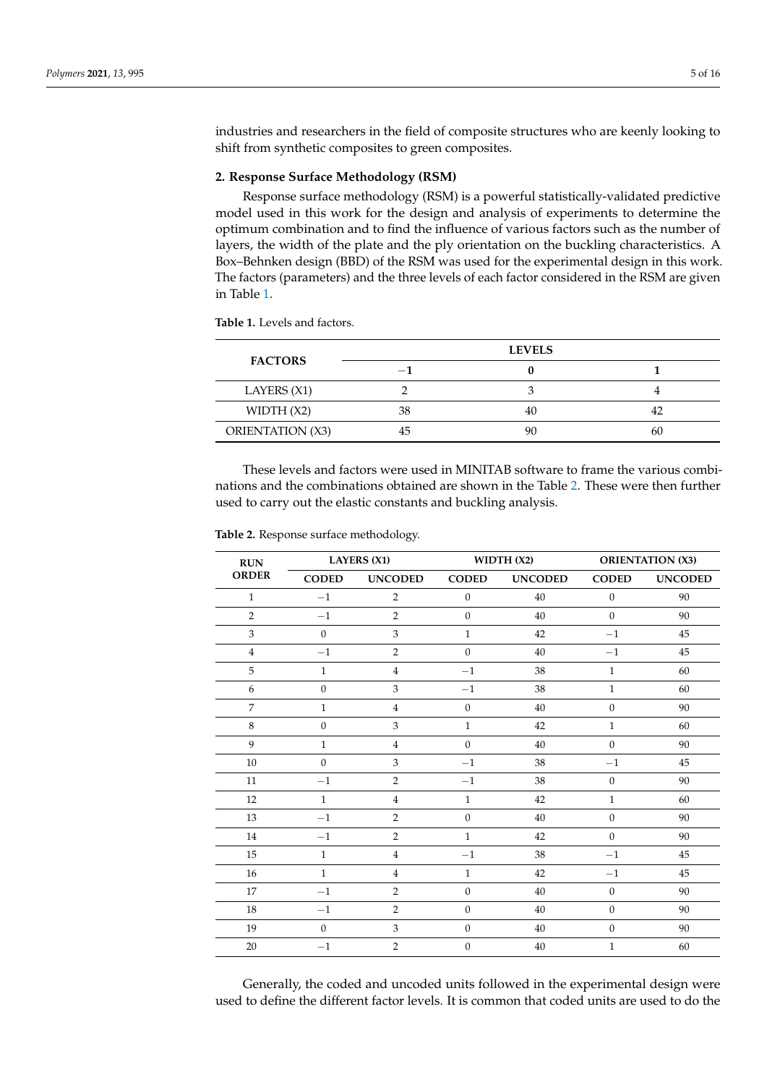industries and researchers in the field of composite structures who are keenly looking to shift from synthetic composites to green composites.

## **2. Response Surface Methodology (RSM)**

Response surface methodology (RSM) is a powerful statistically-validated predictive model used in this work for the design and analysis of experiments to determine the optimum combination and to find the influence of various factors such as the number of layers, the width of the plate and the ply orientation on the buckling characteristics. A Box–Behnken design (BBD) of the RSM was used for the experimental design in this work. The factors (parameters) and the three levels of each factor considered in the RSM are given in Table 1.

**Table 1.** Levels and factors.

| <b>FACTORS</b>   |     | <b>LEVELS</b> |    |
|------------------|-----|---------------|----|
|                  | $-$ |               |    |
| LAYERS (X1)      |     |               |    |
| WIDTH $(X2)$     | 38  | 40            |    |
| ORIENTATION (X3) | 45  | 90            | ы. |

These levels and factors were used in MINITAB software to frame the various combinations and the combinations obtained are shown in the Table 2. These were then further used to carry out the elastic constants and buckling analysis.

| $\mathbf{R}\mathbf{U}\mathbf{N}$ | <b>LAYERS (X1)</b> |                           |                  | WIDTH(X2)      |                  | <b>ORIENTATION (X3)</b> |  |
|----------------------------------|--------------------|---------------------------|------------------|----------------|------------------|-------------------------|--|
| <b>ORDER</b>                     | <b>CODED</b>       | <b>UNCODED</b>            | <b>CODED</b>     | <b>UNCODED</b> | <b>CODED</b>     | <b>UNCODED</b>          |  |
| $\mathbf{1}$                     | $-1$               | $\overline{2}$            | $\boldsymbol{0}$ | 40             | $\boldsymbol{0}$ | 90                      |  |
| $\overline{2}$                   | $-1$               | $\overline{2}$            | $\boldsymbol{0}$ | 40             | $\boldsymbol{0}$ | 90                      |  |
| $\mathfrak z$                    | $\boldsymbol{0}$   | 3                         | $\mathbf{1}$     | 42             | $-1$             | 45                      |  |
| $\overline{4}$                   | $-1$               | $\overline{2}$            | $\mathbf{0}$     | 40             | $-1$             | 45                      |  |
| 5                                | $\,1\,$            | $\,4\,$                   | $-1$             | 38             | $\mathbf{1}$     | 60                      |  |
| 6                                | $\boldsymbol{0}$   | $\mathfrak z$             | $-1\,$           | 38             | $\mathbf{1}$     | 60                      |  |
| $\overline{7}$                   | $\mathbf{1}$       | $\,4\,$                   | $\boldsymbol{0}$ | 40             | $\boldsymbol{0}$ | 90                      |  |
| 8                                | $\boldsymbol{0}$   | 3                         | $\mathbf{1}$     | 42             | $\mathbf{1}$     | 60                      |  |
| 9                                | $\mathbf{1}$       | $\,4\,$                   | $\boldsymbol{0}$ | 40             | $\boldsymbol{0}$ | 90                      |  |
| $10\,$                           | $\theta$           | $\mathfrak z$             | $-1$             | 38             | $-1$             | 45                      |  |
| 11                               | $-1$               | $\overline{2}$            | $-1$             | 38             | $\boldsymbol{0}$ | 90                      |  |
| 12                               | $\mathbf{1}$       | $\,4\,$                   | $\mathbf{1}$     | 42             | $\mathbf{1}$     | 60                      |  |
| 13                               | $-1$               | $\overline{2}$            | $\mathbf{0}$     | 40             | $\boldsymbol{0}$ | 90                      |  |
| 14                               | $-1\,$             | $\overline{2}$            | $\mathbf{1}$     | 42             | $\mathbf{0}$     | 90                      |  |
| 15                               | $\mathbf{1}$       | $\overline{4}$            | $-1$             | 38             | $-1$             | 45                      |  |
| 16                               | $\mathbf{1}$       | $\bf 4$                   | $\mathbf{1}$     | 42             | $-1$             | 45                      |  |
| 17                               | $-1$               | $\overline{2}$            | $\boldsymbol{0}$ | 40             | $\boldsymbol{0}$ | 90                      |  |
| 18                               | $-1$               | $\overline{2}$            | $\mathbf{0}$     | 40             | $\overline{0}$   | 90                      |  |
| 19                               | $\mathbf{0}$       | $\ensuremath{\mathbf{3}}$ | $\boldsymbol{0}$ | 40             | $\boldsymbol{0}$ | 90                      |  |
| $20\,$                           | $-1$               | $\overline{2}$            | $\boldsymbol{0}$ | 40             | $\mathbf{1}$     | 60                      |  |

**Table 2.** Response surface methodology.

Generally, the coded and uncoded units followed in the experimental design were used to define the different factor levels. It is common that coded units are used to do the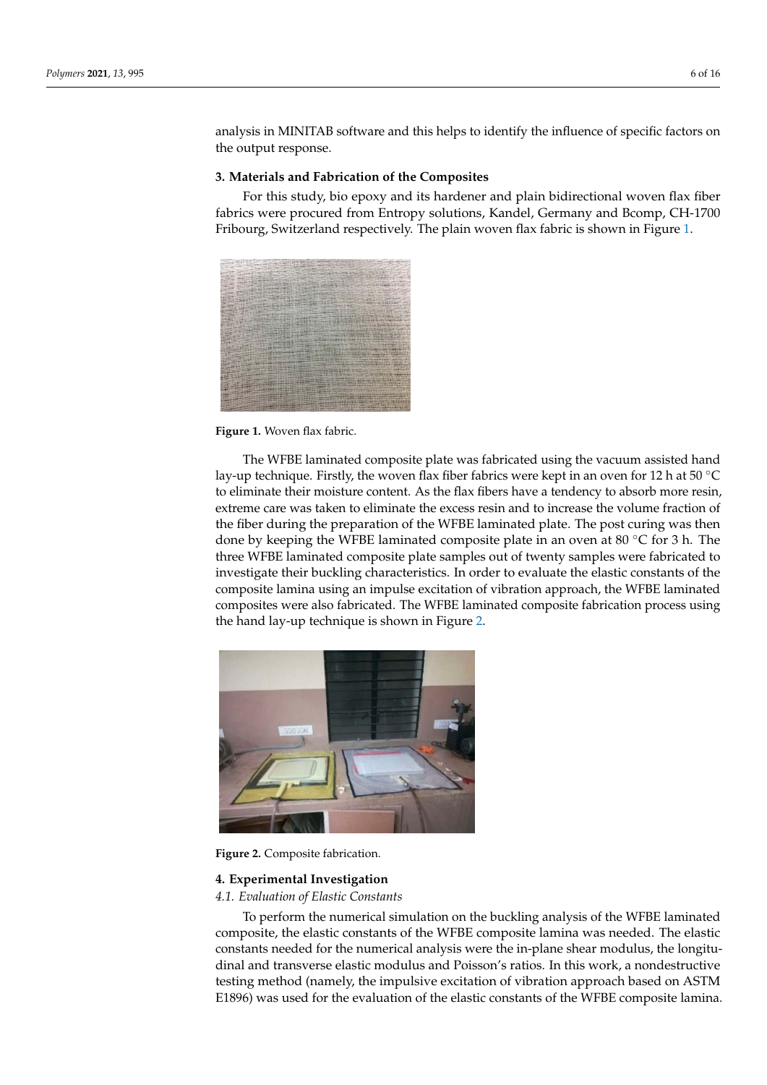analysis in MINITAB software and this helps to identify the influence of specific factors on the output response.

## **3. Materials and Fabrication of the Composites**

For this study, bio epoxy and its hardener and plain bidirectional woven flax fiber fabrics were procured from Entropy solutions, Kandel, Germany and Bcomp, CH-1700 Fribourg, Switzerland respectively. The plain woven flax fabric is shown in Figure 1.



**Figure 1.** Woven flax fabric.

The WFBE laminated composite plate was fabricated using the vacuum assisted hand lay-up technique. Firstly, the woven flax fiber fabrics were kept in an oven for 12 h at 50  $\degree$ C to eliminate their moisture content. As the flax fibers have a tendency to absorb more resin, extreme care was taken to eliminate the excess resin and to increase the volume fraction of the fiber during the preparation of the WFBE laminated plate. The post curing was then done by keeping the WFBE laminated composite plate in an oven at 80  $\degree$ C for 3 h. The three WFBE laminated composite plate samples out of twenty samples were fabricated to investigate their buckling characteristics. In order to evaluate the elastic constants of the composite lamina using an impulse excitation of vibration approach, the WFBE laminated composites were also fabricated. The WFBE laminated composite fabrication process using the hand lay-up technique is shown in Figure 2.



**Figure 2.** Composite fabrication.

## **4. Experimental Investigation**

#### *4.1. Evaluation of Elastic Constants*

To perform the numerical simulation on the buckling analysis of the WFBE laminated composite, the elastic constants of the WFBE composite lamina was needed. The elastic constants needed for the numerical analysis were the in-plane shear modulus, the longitudinal and transverse elastic modulus and Poisson's ratios. In this work, a nondestructive testing method (namely, the impulsive excitation of vibration approach based on ASTM E1896) was used for the evaluation of the elastic constants of the WFBE composite lamina.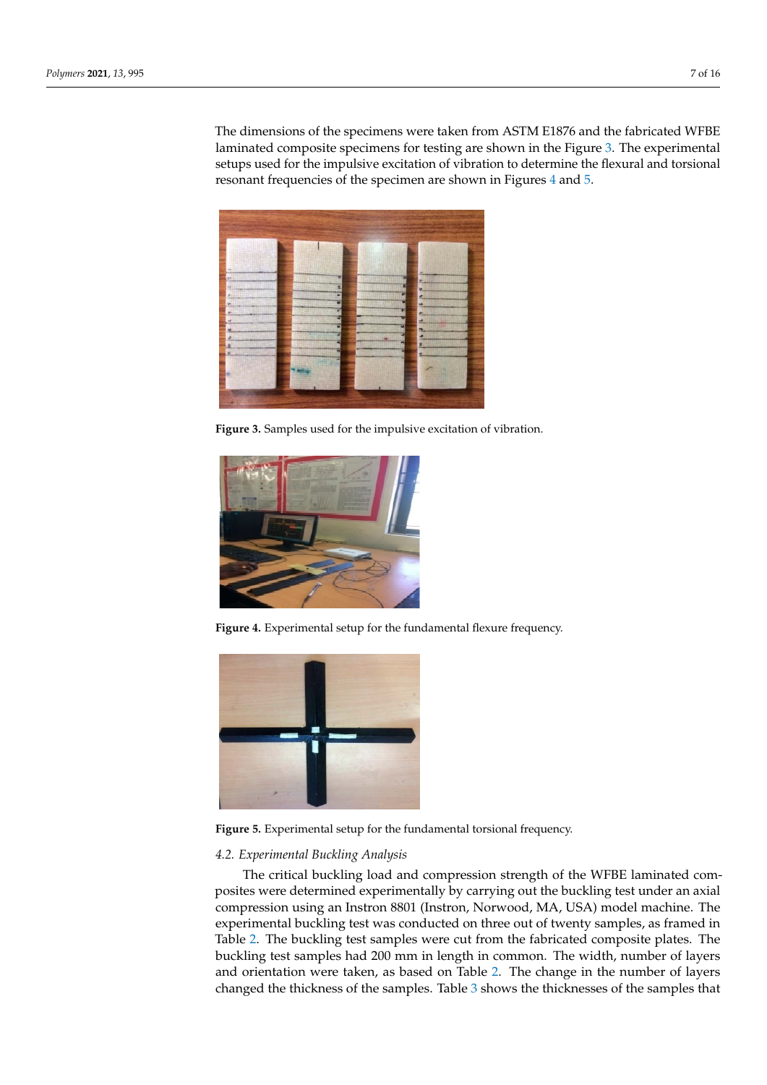The dimensions of the specimens were taken from ASTM E1876 and the fabricated WFBE laminated composite specimens for testing are shown in the Figure 3. The experimental setups used for the impulsive excitation of vibration to determine the flexural and torsional resonant frequencies of the specimen are shown in Figures 4 and 5.



**Figure 3.** Samples used for the impulsive excitation of vibration.



**Figure 4.** Experimental setup for the fundamental flexure frequency.



**Figure 5.** Experimental setup for the fundamental torsional frequency.

## *4.2. Experimental Buckling Analysis*

The critical buckling load and compression strength of the WFBE laminated composites were determined experimentally by carrying out the buckling test under an axial compression using an Instron 8801 (Instron, Norwood, MA, USA) model machine. The experimental buckling test was conducted on three out of twenty samples, as framed in Table 2. The buckling test samples were cut from the fabricated composite plates. The buckling test samples had 200 mm in length in common. The width, number of layers and orientation were taken, as based on Table 2. The change in the number of layers changed the thickness of the samples. Table 3 shows the thicknesses of the samples that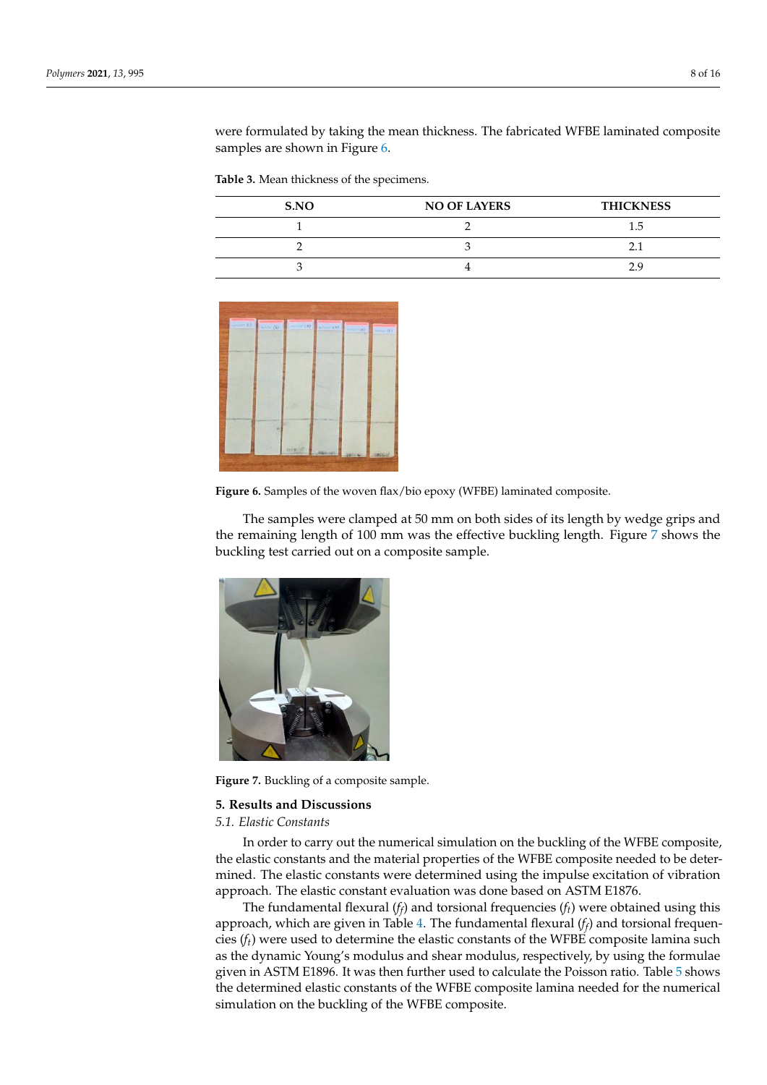were formulated by taking the mean thickness. The fabricated WFBE laminated composite samples are shown in Figure 6.

**Table 3.** Mean thickness of the specimens.

| S.NO | <b>NO OF LAYERS</b> | <b>THICKNESS</b> |
|------|---------------------|------------------|
|      |                     | ל. ו             |
|      |                     |                  |
|      |                     |                  |





The samples were clamped at 50 mm on both sides of its length by wedge grips and the remaining length of 100 mm was the effective buckling length. Figure 7 shows the buckling test carried out on a composite sample.



**Figure 7.** Buckling of a composite sample.

#### **5. Results and Discussions**

#### *5.1. Elastic Constants*

In order to carry out the numerical simulation on the buckling of the WFBE composite, the elastic constants and the material properties of the WFBE composite needed to be determined. The elastic constants were determined using the impulse excitation of vibration approach. The elastic constant evaluation was done based on ASTM E1876.

The fundamental flexural  $(f_f)$  and torsional frequencies  $(f_t)$  were obtained using this approach, which are given in Table 4. The fundamental flexural (*f<sup>f</sup>* ) and torsional frequencies  $(f_t)$  were used to determine the elastic constants of the WFBE composite lamina such as the dynamic Young's modulus and shear modulus, respectively, by using the formulae given in ASTM E1896. It was then further used to calculate the Poisson ratio. Table 5 shows the determined elastic constants of the WFBE composite lamina needed for the numerical simulation on the buckling of the WFBE composite.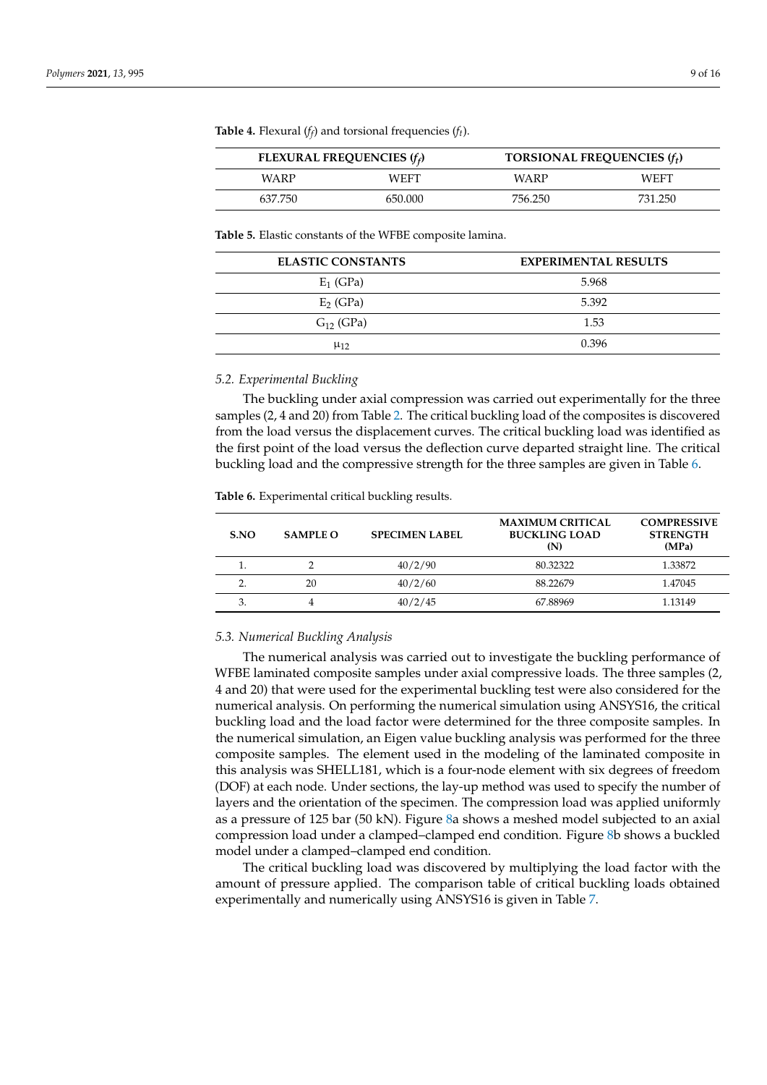| FLEXURAL FREQUENCIES $(f_f)$ |         | TORSIONAL FREQUENCIES $(f_t)$ |             |
|------------------------------|---------|-------------------------------|-------------|
| WARP                         | WEFT    | WARP                          | <b>WEFT</b> |
| 637.750                      | 650.000 | 756.250                       | 731.250     |

**Table 4.** Flexural  $(f_f)$  and torsional frequencies  $(f_t)$ .

**Table 5.** Elastic constants of the WFBE composite lamina.

| <b>ELASTIC CONSTANTS</b> | <b>EXPERIMENTAL RESULTS</b> |
|--------------------------|-----------------------------|
| $E_1$ (GPa)              | 5.968                       |
| $E2$ (GPa)               | 5.392                       |
| $G_{12}$ (GPa)           | 1.53                        |
| $\mu_{12}$               | 0.396                       |

#### *5.2. Experimental Buckling*

The buckling under axial compression was carried out experimentally for the three samples (2, 4 and 20) from Table 2. The critical buckling load of the composites is discovered from the load versus the displacement curves. The critical buckling load was identified as the first point of the load versus the deflection curve departed straight line. The critical buckling load and the compressive strength for the three samples are given in Table 6.

**Table 6.** Experimental critical buckling results.

| S.NO | <b>SAMPLE O</b> | <b>SPECIMEN LABEL</b> | <b>MAXIMUM CRITICAL</b><br><b>BUCKLING LOAD</b><br>(N) | <b>COMPRESSIVE</b><br><b>STRENGTH</b><br>(MPa) |
|------|-----------------|-----------------------|--------------------------------------------------------|------------------------------------------------|
|      |                 | 40/2/90               | 80.32322                                               | 1.33872                                        |
|      | 20              | 40/2/60               | 88.22679                                               | 1.47045                                        |
| Ć.   |                 | 40/2/45               | 67.88969                                               | 1.13149                                        |

### *5.3. Numerical Buckling Analysis*

The numerical analysis was carried out to investigate the buckling performance of WFBE laminated composite samples under axial compressive loads. The three samples (2, 4 and 20) that were used for the experimental buckling test were also considered for the numerical analysis. On performing the numerical simulation using ANSYS16, the critical buckling load and the load factor were determined for the three composite samples. In the numerical simulation, an Eigen value buckling analysis was performed for the three composite samples. The element used in the modeling of the laminated composite in this analysis was SHELL181, which is a four-node element with six degrees of freedom (DOF) at each node. Under sections, the lay-up method was used to specify the number of layers and the orientation of the specimen. The compression load was applied uniformly as a pressure of 125 bar (50 kN). Figure 8a shows a meshed model subjected to an axial compression load under a clamped–clamped end condition. Figure 8b shows a buckled model under a clamped–clamped end condition.

The critical buckling load was discovered by multiplying the load factor with the amount of pressure applied. The comparison table of critical buckling loads obtained experimentally and numerically using ANSYS16 is given in Table 7.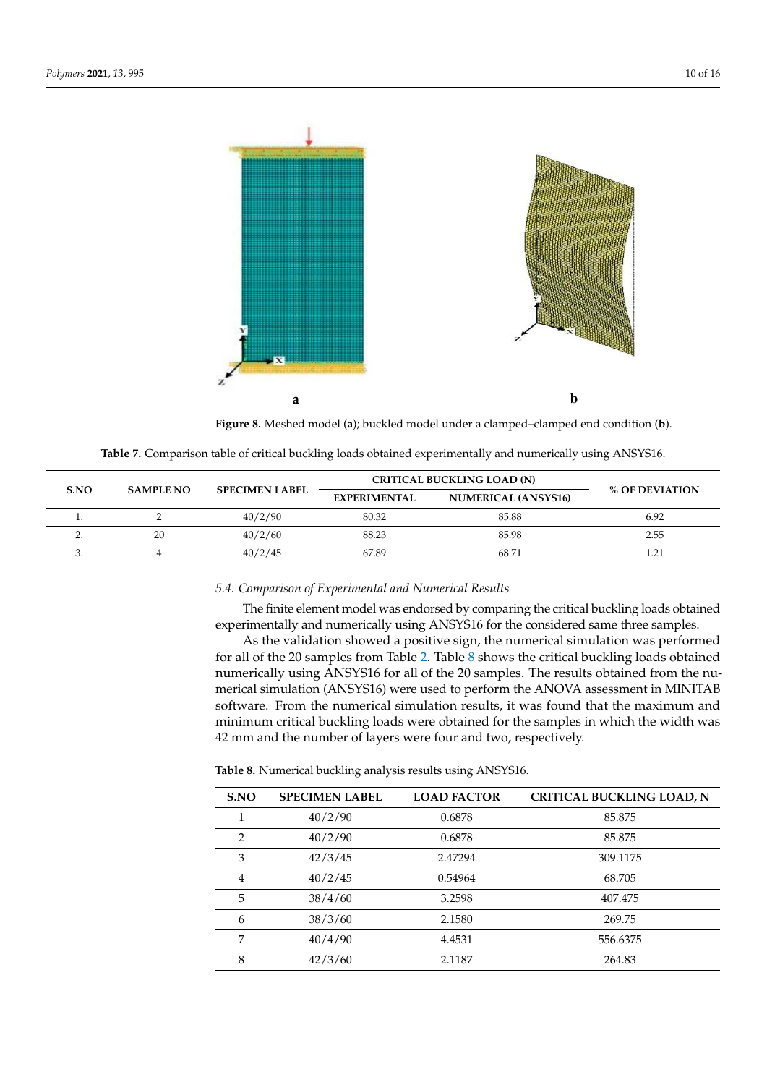

**Figure 8.** Meshed model (**a**); buckled model under a clamped–clamped end condition (**b**).

|            |                  | <b>SPECIMEN LABEL</b> | <b>CRITICAL BUCKLING LOAD (N)</b> |                            |                |
|------------|------------------|-----------------------|-----------------------------------|----------------------------|----------------|
| S.NO       | <b>SAMPLE NO</b> |                       | <b>EXPERIMENTAL</b>               | <b>NUMERICAL (ANSYS16)</b> | % OF DEVIATION |
|            |                  | 40/2/90               | 80.32                             | 85.88                      | 6.92           |
| <u>.</u> . | 20               | 40/2/60               | 88.23                             | 85.98                      | 2.55           |
| ◡.         |                  | 40/2/45               | 67.89                             | 68.71                      | .21            |

**Table 7.** Comparison table of critical buckling loads obtained experimentally and numerically using ANSYS16.

## *5.4. Comparison of Experimental and Numerical Results*

The finite element model was endorsed by comparing the critical buckling loads obtained experimentally and numerically using ANSYS16 for the considered same three samples.

As the validation showed a positive sign, the numerical simulation was performed for all of the 20 samples from Table 2. Table 8 shows the critical buckling loads obtained numerically using ANSYS16 for all of the 20 samples. The results obtained from the numerical simulation (ANSYS16) were used to perform the ANOVA assessment in MINITAB software. From the numerical simulation results, it was found that the maximum and minimum critical buckling loads were obtained for the samples in which the width was 42 mm and the number of layers were four and two, respectively.

**Table 8.** Numerical buckling analysis results using ANSYS16.

| S.NO | <b>SPECIMEN LABEL</b> | <b>LOAD FACTOR</b> | <b>CRITICAL BUCKLING LOAD, N</b> |
|------|-----------------------|--------------------|----------------------------------|
|      | 40/2/90               | 0.6878             | 85.875                           |
| 2    | 40/2/90               | 0.6878             | 85.875                           |
| 3    | 42/3/45               | 2.47294            | 309.1175                         |
| 4    | 40/2/45               | 0.54964            | 68.705                           |
| 5    | 38/4/60               | 3.2598             | 407.475                          |
| 6    | 38/3/60               | 2.1580             | 269.75                           |
| 7    | 40/4/90               | 4.4531             | 556.6375                         |
| 8    | 42/3/60               | 2.1187             | 264.83                           |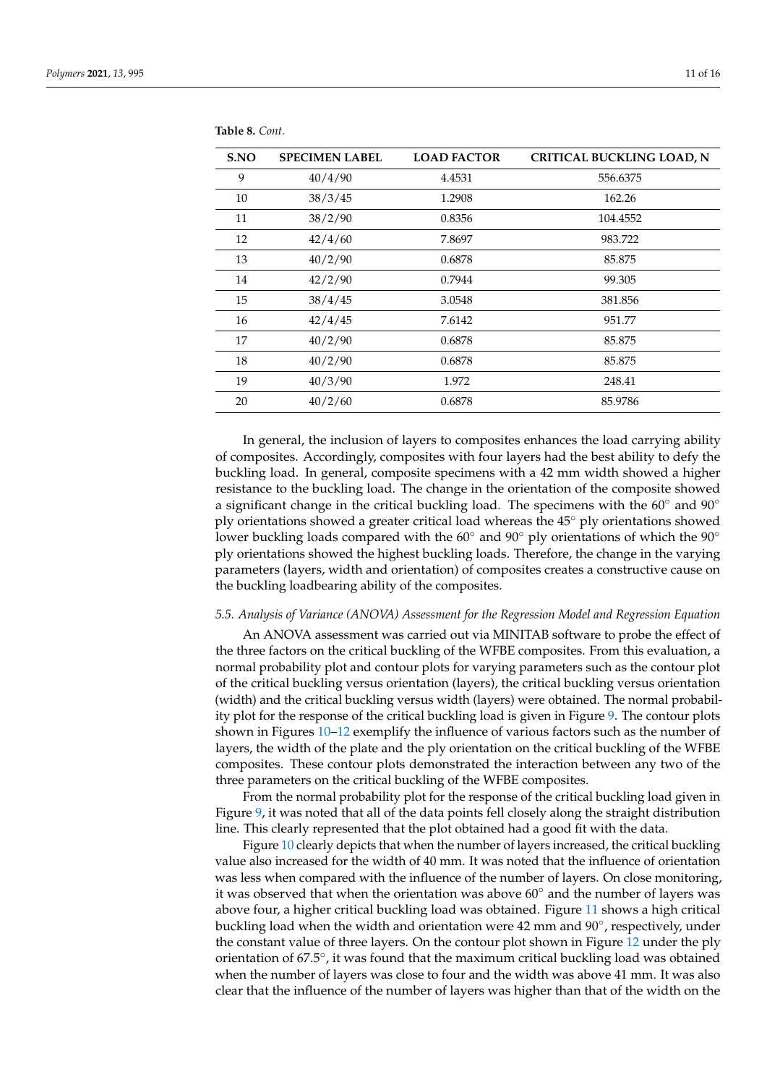| S.NO | <b>SPECIMEN LABEL</b> | <b>LOAD FACTOR</b> | <b>CRITICAL BUCKLING LOAD, N</b> |
|------|-----------------------|--------------------|----------------------------------|
| 9    | 40/4/90               | 4.4531             | 556.6375                         |
| 10   | 38/3/45               | 1.2908             | 162.26                           |
| 11   | 38/2/90               | 0.8356             | 104.4552                         |
| 12   | 42/4/60               | 7.8697             | 983.722                          |
| 13   | 40/2/90               | 0.6878             | 85.875                           |
| 14   | 42/2/90               | 0.7944             | 99.305                           |
| 15   | 38/4/45               | 3.0548             | 381.856                          |
| 16   | 42/4/45               | 7.6142             | 951.77                           |
| 17   | 40/2/90               | 0.6878             | 85.875                           |
| 18   | 40/2/90               | 0.6878             | 85.875                           |
| 19   | 40/3/90               | 1.972              | 248.41                           |
| 20   | 40/2/60               | 0.6878             | 85.9786                          |

**Table 8.** *Cont.*

In general, the inclusion of layers to composites enhances the load carrying ability of composites. Accordingly, composites with four layers had the best ability to defy the buckling load. In general, composite specimens with a 42 mm width showed a higher resistance to the buckling load. The change in the orientation of the composite showed a significant change in the critical buckling load. The specimens with the  $60°$  and  $90°$ ply orientations showed a greater critical load whereas the 45◦ ply orientations showed lower buckling loads compared with the 60◦ and 90◦ ply orientations of which the 90◦ ply orientations showed the highest buckling loads. Therefore, the change in the varying parameters (layers, width and orientation) of composites creates a constructive cause on the buckling loadbearing ability of the composites.

## *5.5. Analysis of Variance (ANOVA) Assessment for the Regression Model and Regression Equation*

An ANOVA assessment was carried out via MINITAB software to probe the effect of the three factors on the critical buckling of the WFBE composites. From this evaluation, a normal probability plot and contour plots for varying parameters such as the contour plot of the critical buckling versus orientation (layers), the critical buckling versus orientation (width) and the critical buckling versus width (layers) were obtained. The normal probability plot for the response of the critical buckling load is given in Figure 9. The contour plots shown in Figures 10–12 exemplify the influence of various factors such as the number of layers, the width of the plate and the ply orientation on the critical buckling of the WFBE composites. These contour plots demonstrated the interaction between any two of the three parameters on the critical buckling of the WFBE composites.

From the normal probability plot for the response of the critical buckling load given in Figure 9, it was noted that all of the data points fell closely along the straight distribution line. This clearly represented that the plot obtained had a good fit with the data.

Figure 10 clearly depicts that when the number of layers increased, the critical buckling value also increased for the width of 40 mm. It was noted that the influence of orientation was less when compared with the influence of the number of layers. On close monitoring, it was observed that when the orientation was above  $60°$  and the number of layers was above four, a higher critical buckling load was obtained. Figure 11 shows a high critical buckling load when the width and orientation were 42 mm and 90◦ , respectively, under the constant value of three layers. On the contour plot shown in Figure 12 under the ply orientation of 67.5◦ , it was found that the maximum critical buckling load was obtained when the number of layers was close to four and the width was above 41 mm. It was also clear that the influence of the number of layers was higher than that of the width on the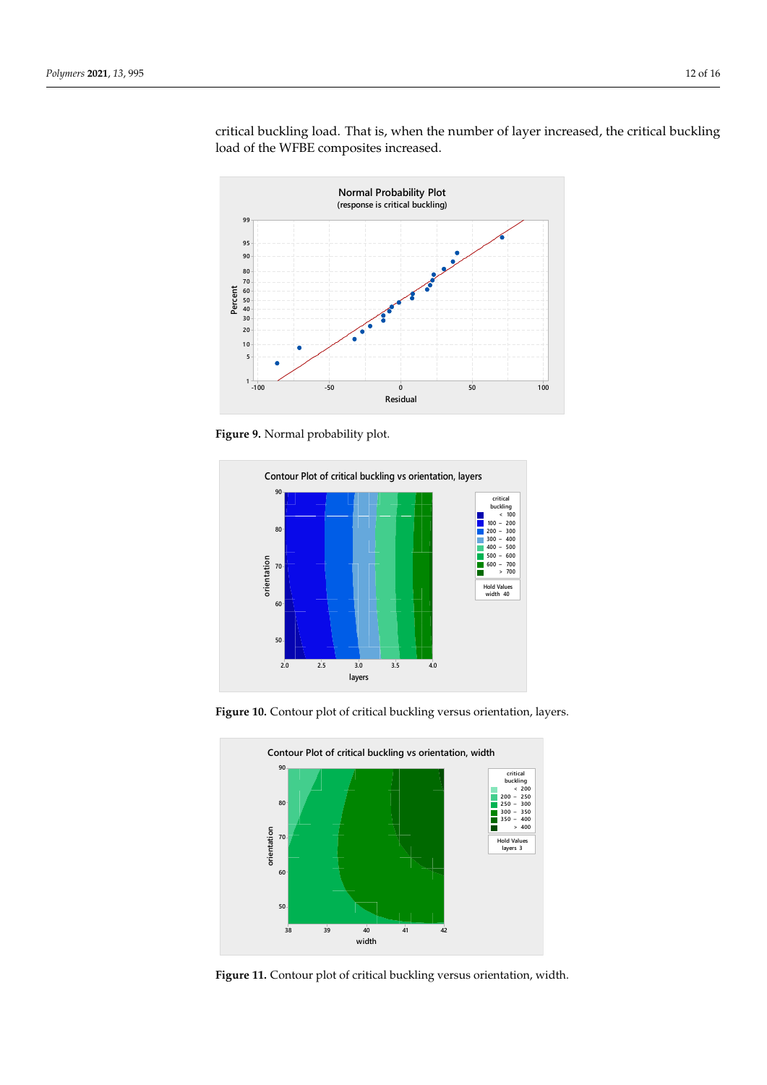

critical buckling load. That is, when the number of layer increased, the critical buckling load of the WFBE composites increased.

**Figure 9.** Normal probability plot.



**Figure 10.** Contour plot of critical buckling versus orientation, layers.



**Figure 11.** Contour plot of critical buckling versus orientation, width.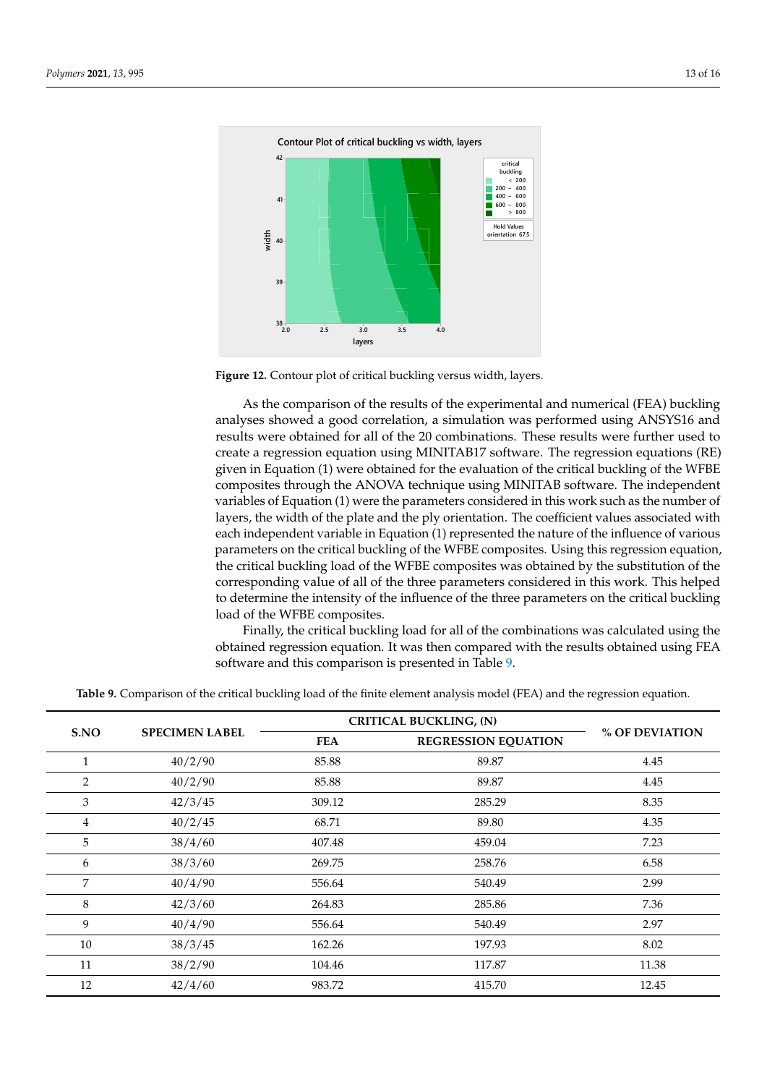

**Figure 12.** Contour plot of critical buckling versus width, layers.

As the comparison of the results of the experimental and numerical (FEA) buckling analyses showed a good correlation, a simulation was performed using ANSYS16 and results were obtained for all of the 20 combinations. These results were further used to create a regression equation using MINITAB17 software. The regression equations (RE) given in Equation (1) were obtained for the evaluation of the critical buckling of the WFBE composites through the ANOVA technique using MINITAB software. The independent variables of Equation (1) were the parameters considered in this work such as the number of layers, the width of the plate and the ply orientation. The coefficient values associated with each independent variable in Equation (1) represented the nature of the influence of various parameters on the critical buckling of the WFBE composites. Using this regression equation, the critical buckling load of the WFBE composites was obtained by the substitution of the corresponding value of all of the three parameters considered in this work. This helped to determine the intensity of the influence of the three parameters on the critical buckling load of the WFBE composites.

Finally, the critical buckling load for all of the combinations was calculated using the obtained regression equation. It was then compared with the results obtained using FEA software and this comparison is presented in Table 9.

|                |                       | <b>CRITICAL BUCKLING, (N)</b> |                            |                |
|----------------|-----------------------|-------------------------------|----------------------------|----------------|
| S.NO           | <b>SPECIMEN LABEL</b> | <b>FEA</b>                    | <b>REGRESSION EQUATION</b> | % OF DEVIATION |
| $\mathbf{1}$   | 40/2/90               | 85.88                         | 89.87                      | 4.45           |
| $\overline{2}$ | 40/2/90               | 85.88                         | 89.87                      | 4.45           |
| 3              | 42/3/45               | 309.12                        | 285.29                     | 8.35           |
| 4              | 40/2/45               | 68.71                         | 89.80                      | 4.35           |
| 5              | 38/4/60               | 407.48                        | 459.04                     | 7.23           |
| 6              | 38/3/60               | 269.75                        | 258.76                     | 6.58           |
| 7              | 40/4/90               | 556.64                        | 540.49                     | 2.99           |
| 8              | 42/3/60               | 264.83                        | 285.86                     | 7.36           |
| 9              | 40/4/90               | 556.64                        | 540.49                     | 2.97           |
| 10             | 38/3/45               | 162.26                        | 197.93                     | 8.02           |
| 11             | 38/2/90               | 104.46                        | 117.87                     | 11.38          |
| 12             | 42/4/60               | 983.72                        | 415.70                     | 12.45          |

**Table 9.** Comparison of the critical buckling load of the finite element analysis model (FEA) and the regression equation.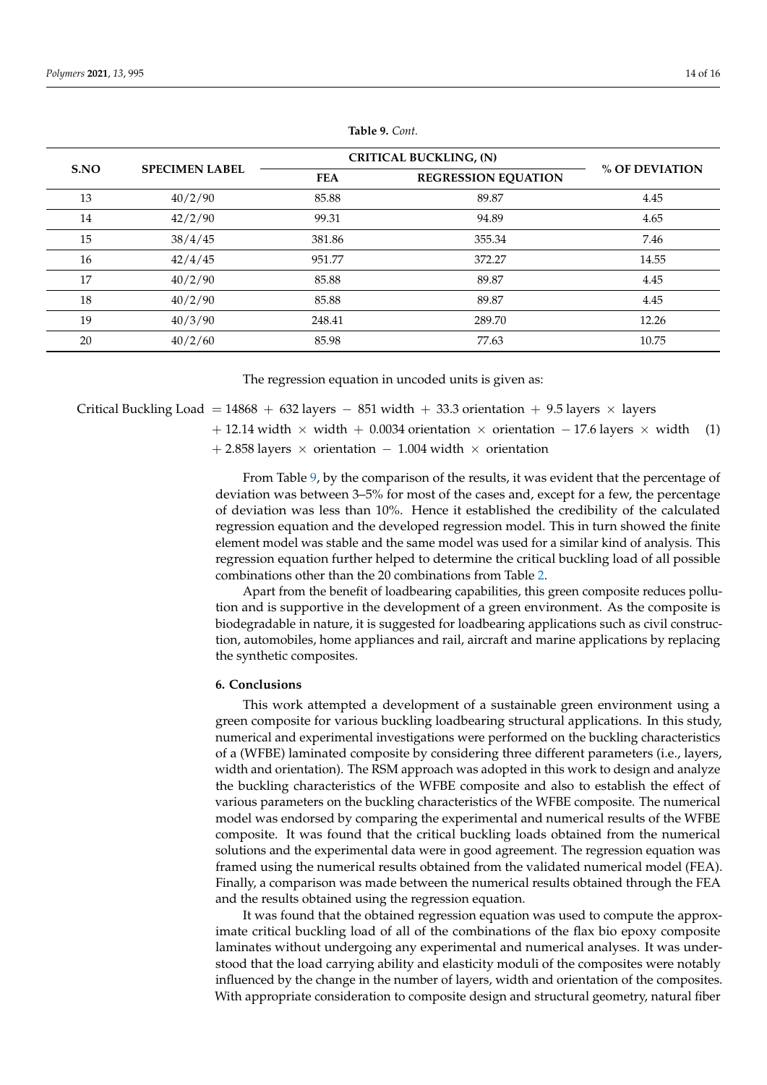|      |                       |            | <b>CRITICAL BUCKLING, (N)</b> |                |  |
|------|-----------------------|------------|-------------------------------|----------------|--|
| S.NO | <b>SPECIMEN LABEL</b> | <b>FEA</b> | <b>REGRESSION EQUATION</b>    | % OF DEVIATION |  |
| 13   | 40/2/90               | 85.88      | 89.87                         | 4.45           |  |
| 14   | 42/2/90               | 99.31      | 94.89                         | 4.65           |  |
| 15   | 38/4/45               | 381.86     | 355.34                        | 7.46           |  |
| 16   | 42/4/45               | 951.77     | 372.27                        | 14.55          |  |
| 17   | 40/2/90               | 85.88      | 89.87                         | 4.45           |  |
| 18   | 40/2/90               | 85.88      | 89.87                         | 4.45           |  |
| 19   | 40/3/90               | 248.41     | 289.70                        | 12.26          |  |
| 20   | 40/2/60               | 85.98      | 77.63                         | 10.75          |  |

**Table 9.** *Cont.*

The regression equation in uncoded units is given as:

## Critical Buckling Load = 14868 + 632 layers - 851 width + 33.3 orientation + 9.5 layers  $\times$  layers

+ 12.14 width  $\times$  width + 0.0034 orientation  $\times$  orientation – 17.6 layers  $\times$  width (1)

 $+ 2.858$  layers × orientation  $- 1.004$  width × orientation

From Table 9, by the comparison of the results, it was evident that the percentage of deviation was between 3–5% for most of the cases and, except for a few, the percentage of deviation was less than 10%. Hence it established the credibility of the calculated regression equation and the developed regression model. This in turn showed the finite element model was stable and the same model was used for a similar kind of analysis. This regression equation further helped to determine the critical buckling load of all possible combinations other than the 20 combinations from Table 2.

Apart from the benefit of loadbearing capabilities, this green composite reduces pollution and is supportive in the development of a green environment. As the composite is biodegradable in nature, it is suggested for loadbearing applications such as civil construction, automobiles, home appliances and rail, aircraft and marine applications by replacing the synthetic composites.

## **6. Conclusions**

This work attempted a development of a sustainable green environment using a green composite for various buckling loadbearing structural applications. In this study, numerical and experimental investigations were performed on the buckling characteristics of a (WFBE) laminated composite by considering three different parameters (i.e., layers, width and orientation). The RSM approach was adopted in this work to design and analyze the buckling characteristics of the WFBE composite and also to establish the effect of various parameters on the buckling characteristics of the WFBE composite. The numerical model was endorsed by comparing the experimental and numerical results of the WFBE composite. It was found that the critical buckling loads obtained from the numerical solutions and the experimental data were in good agreement. The regression equation was framed using the numerical results obtained from the validated numerical model (FEA). Finally, a comparison was made between the numerical results obtained through the FEA and the results obtained using the regression equation.

It was found that the obtained regression equation was used to compute the approximate critical buckling load of all of the combinations of the flax bio epoxy composite laminates without undergoing any experimental and numerical analyses. It was understood that the load carrying ability and elasticity moduli of the composites were notably influenced by the change in the number of layers, width and orientation of the composites. With appropriate consideration to composite design and structural geometry, natural fiber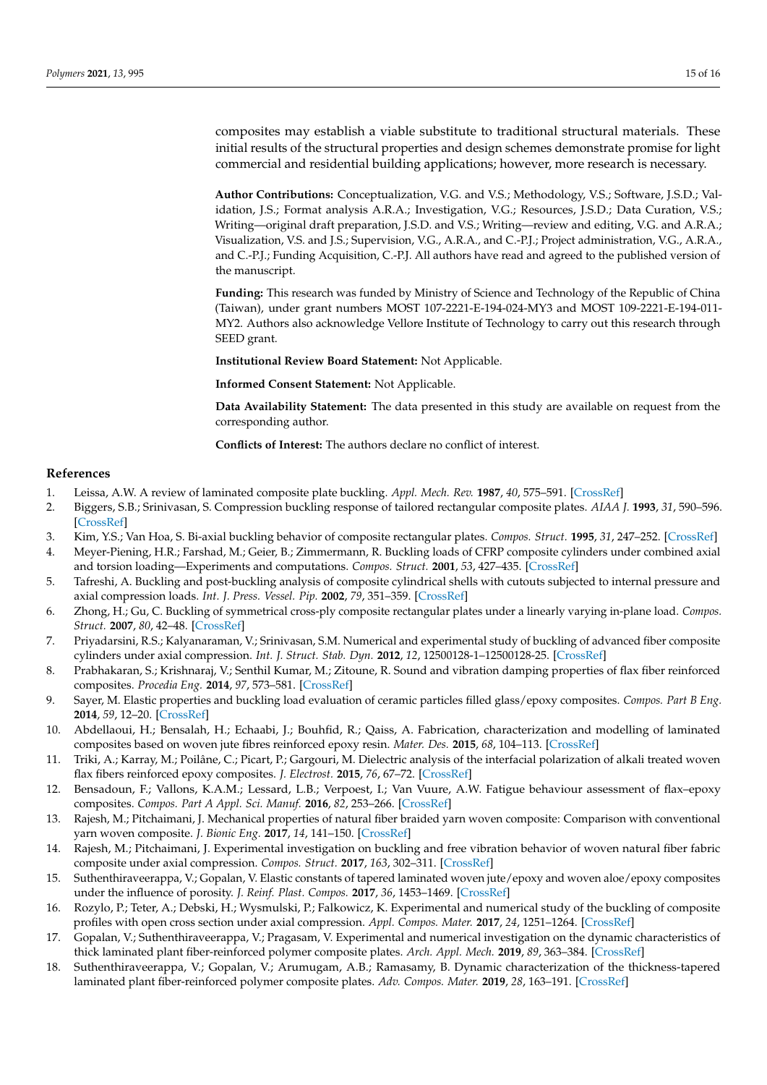composites may establish a viable substitute to traditional structural materials. These initial results of the structural properties and design schemes demonstrate promise for light commercial and residential building applications; however, more research is necessary.

**Author Contributions:** Conceptualization, V.G. and V.S.; Methodology, V.S.; Software, J.S.D.; Validation, J.S.; Format analysis A.R.A.; Investigation, V.G.; Resources, J.S.D.; Data Curation, V.S.; Writing—original draft preparation, J.S.D. and V.S.; Writing—review and editing, V.G. and A.R.A.; Visualization, V.S. and J.S.; Supervision, V.G., A.R.A., and C.-P.J.; Project administration, V.G., A.R.A., and C.-P.J.; Funding Acquisition, C.-P.J. All authors have read and agreed to the published version of the manuscript.

**Funding:** This research was funded by Ministry of Science and Technology of the Republic of China (Taiwan), under grant numbers MOST 107-2221-E-194-024-MY3 and MOST 109-2221-E-194-011- MY2. Authors also acknowledge Vellore Institute of Technology to carry out this research through SEED grant.

**Institutional Review Board Statement:** Not Applicable.

**Informed Consent Statement:** Not Applicable.

**Data Availability Statement:** The data presented in this study are available on request from the corresponding author.

**Conflicts of Interest:** The authors declare no conflict of interest.

## **References**

- 1. Leissa, A.W. A review of laminated composite plate buckling. *Appl. Mech. Rev.* **1987**, *40*, 575–591. [CrossRef]
- 2. Biggers, S.B.; Srinivasan, S. Compression buckling response of tailored rectangular composite plates. *AIAA J.* **1993**, *31*, 590–596. [CrossRef]
- 3. Kim, Y.S.; Van Hoa, S. Bi-axial buckling behavior of composite rectangular plates. *Compos. Struct.* **1995**, *31*, 247–252. [CrossRef] 4. Meyer-Piening, H.R.; Farshad, M.; Geier, B.; Zimmermann, R. Buckling loads of CFRP composite cylinders under combined axial and torsion loading—Experiments and computations. *Compos. Struct.* **2001**, *53*, 427–435. [CrossRef]
- 5. Tafreshi, A. Buckling and post-buckling analysis of composite cylindrical shells with cutouts subjected to internal pressure and axial compression loads. *Int. J. Press. Vessel. Pip.* **2002**, *79*, 351–359. [CrossRef]
- 6. Zhong, H.; Gu, C. Buckling of symmetrical cross-ply composite rectangular plates under a linearly varying in-plane load. *Compos. Struct.* **2007**, *80*, 42–48. [CrossRef]
- 7. Priyadarsini, R.S.; Kalyanaraman, V.; Srinivasan, S.M. Numerical and experimental study of buckling of advanced fiber composite cylinders under axial compression. *Int. J. Struct. Stab. Dyn.* **2012**, *12*, 12500128-1–12500128-25. [CrossRef]
- 8. Prabhakaran, S.; Krishnaraj, V.; Senthil Kumar, M.; Zitoune, R. Sound and vibration damping properties of flax fiber reinforced composites. *Procedia Eng.* **2014**, *97*, 573–581. [CrossRef]
- 9. Sayer, M. Elastic properties and buckling load evaluation of ceramic particles filled glass/epoxy composites. *Compos. Part B Eng.* **2014**, *59*, 12–20. [CrossRef]
- 10. Abdellaoui, H.; Bensalah, H.; Echaabi, J.; Bouhfid, R.; Qaiss, A. Fabrication, characterization and modelling of laminated composites based on woven jute fibres reinforced epoxy resin. *Mater. Des.* **2015**, *68*, 104–113. [CrossRef]
- 11. Triki, A.; Karray, M.; Poilâne, C.; Picart, P.; Gargouri, M. Dielectric analysis of the interfacial polarization of alkali treated woven flax fibers reinforced epoxy composites. *J. Electrost.* **2015**, *76*, 67–72. [CrossRef]
- 12. Bensadoun, F.; Vallons, K.A.M.; Lessard, L.B.; Verpoest, I.; Van Vuure, A.W. Fatigue behaviour assessment of flax–epoxy composites. *Compos. Part A Appl. Sci. Manuf.* **2016**, *82*, 253–266. [CrossRef]
- 13. Rajesh, M.; Pitchaimani, J. Mechanical properties of natural fiber braided yarn woven composite: Comparison with conventional yarn woven composite. *J. Bionic Eng.* **2017**, *14*, 141–150. [CrossRef]
- 14. Rajesh, M.; Pitchaimani, J. Experimental investigation on buckling and free vibration behavior of woven natural fiber fabric composite under axial compression. *Compos. Struct.* **2017**, *163*, 302–311. [CrossRef]
- 15. Suthenthiraveerappa, V.; Gopalan, V. Elastic constants of tapered laminated woven jute/epoxy and woven aloe/epoxy composites under the influence of porosity. *J. Reinf. Plast. Compos.* **2017**, *36*, 1453–1469. [CrossRef]
- 16. Rozylo, P.; Teter, A.; Debski, H.; Wysmulski, P.; Falkowicz, K. Experimental and numerical study of the buckling of composite profiles with open cross section under axial compression. *Appl. Compos. Mater.* **2017**, *24*, 1251–1264. [CrossRef]
- 17. Gopalan, V.; Suthenthiraveerappa, V.; Pragasam, V. Experimental and numerical investigation on the dynamic characteristics of thick laminated plant fiber-reinforced polymer composite plates. *Arch. Appl. Mech.* **2019**, *89*, 363–384. [CrossRef]
- 18. Suthenthiraveerappa, V.; Gopalan, V.; Arumugam, A.B.; Ramasamy, B. Dynamic characterization of the thickness-tapered laminated plant fiber-reinforced polymer composite plates. *Adv. Compos. Mater.* **2019**, *28*, 163–191. [CrossRef]